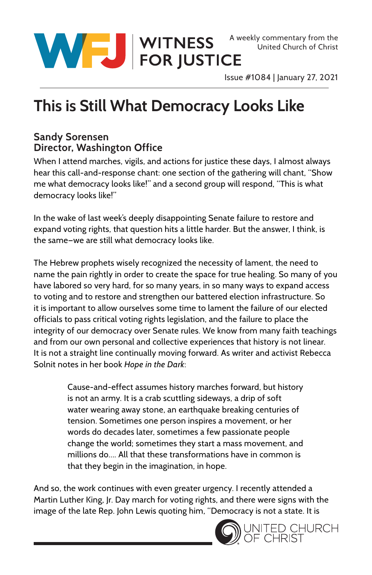

Issue #1084 | January 27, 2021

## **This is Still What Democracy Looks Like**

## **Sandy Sorensen Director, Washington Office**

When I attend marches, vigils, and actions for justice these days, I almost always hear this call-and-response chant: one section of the gathering will chant, "Show me what democracy looks like!" and a second group will respond, "This is what democracy looks like!"

In the wake of last week's deeply disappointing Senate failure to restore and expand voting rights, that question hits a little harder. But the answer, I think, is the same—we are still what democracy looks like.

The Hebrew prophets wisely recognized the necessity of lament, the need to name the pain rightly in order to create the space for true healing. So many of you have labored so very hard, for so many years, in so many ways to expand access to voting and to restore and strengthen our battered election infrastructure. So it is important to allow ourselves some time to lament the failure of our elected officials to pass critical voting rights legislation, and the failure to place the integrity of our democracy over Senate rules. We know from many faith teachings and from our own personal and collective experiences that history is not linear. It is not a straight line continually moving forward. As writer and activist Rebecca Solnit notes in her book *Hope in the Dark*:

> Cause-and-effect assumes history marches forward, but history is not an army. It is a crab scuttling sideways, a drip of soft water wearing away stone, an earthquake breaking centuries of tension. Sometimes one person inspires a movement, or her words do decades later, sometimes a few passionate people change the world; sometimes they start a mass movement, and millions do…. All that these transformations have in common is that they begin in the imagination, in hope.

And so, the work continues with even greater urgency. I recently attended a Martin Luther King, Jr. Day march for voting rights, and there were signs with the image of the late Rep. John Lewis quoting him, "Democracy is not a state. It is

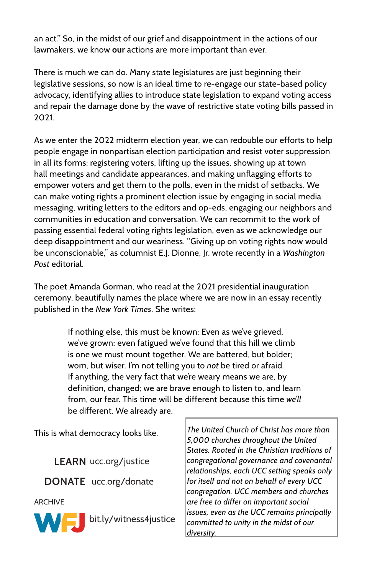an act." So, in the midst of our grief and disappointment in the actions of our lawmakers, we know **our** actions are more important than ever.

There is much we can do. Many state legislatures are just beginning their legislative sessions, so now is an ideal time to re-engage our state-based policy advocacy, identifying allies to introduce state legislation to expand voting access and repair the damage done by the wave of restrictive state voting bills passed in 2021.

As we enter the 2022 midterm election year, we can redouble our efforts to help people engage in nonpartisan election participation and resist voter suppression in all its forms: registering voters, lifting up the issues, showing up at town hall meetings and candidate appearances, and making unflagging efforts to empower voters and get them to the polls, even in the midst of setbacks. We can make voting rights a prominent election issue by engaging in social media messaging, writing letters to the editors and op-eds, engaging our neighbors and communities in education and conversation. We can recommit to the work of passing essential federal voting rights legislation, even as we acknowledge our deep disappointment and our weariness. "Giving up on voting rights now would be unconscionable," as columnist E.J. Dionne, Jr. wrote recently in a *Washington Post* editorial.

The poet Amanda Gorman, who read at the 2021 presidential inauguration ceremony, beautifully names the place where we are now in an essay recently published in the *New York Times*. She writes:

> If nothing else, this must be known: Even as we've grieved, we've grown; even fatigued we've found that this hill we climb is one we must mount together. We are battered, but bolder; worn, but wiser. I'm not telling you to *not* be tired or afraid. If anything, the very fact that we're weary means we are, by definition, changed; we are brave enough to listen to, and learn from, our fear. This time will be different because this time *we'll* be different. We already are.

This is what democracy looks like.

LEARN ucc.org/justice **DONATE** ucc.org/donate

ARCHIVE



*The United Church of Christ has more than 5,000 churches throughout the United States. Rooted in the Christian traditions of congregational governance and covenantal relationships, each UCC setting speaks only for itself and not on behalf of every UCC congregation. UCC members and churches are free to differ on important social issues, even as the UCC remains principally committed to unity in the midst of our diversity.*